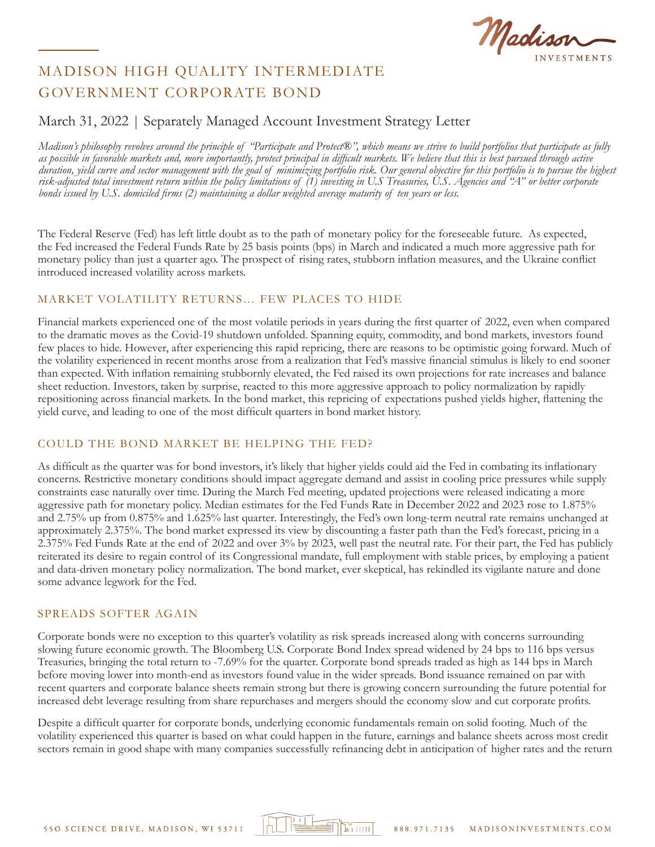Madis

## March 31, 2022 | Separately Managed Account Investment Strategy Letter

*Madison's philosophy revolves around the principle of "Participate and Protect®", which means we strive to build portfolios that participate as fully as possible in favorable markets and, more importantly, protect principal in difficult markets. We believe that this is best pursued through active duration, yield curve and sector management with the goal of minimizing portfolio risk. Our general objective for this portfolio is to pursue the highest risk-adjusted total investment return within the policy limitations of (1) investing in U.S Treasuries, U.S. Agencies and "A" or better corporate bonds issued by U.S. domiciled firms (2) maintaining a dollar weighted average maturity of ten years or less.*

The Federal Reserve (Fed) has left little doubt as to the path of monetary policy for the foreseeable future. As expected, the Fed increased the Federal Funds Rate by 25 basis points (bps) in March and indicated a much more aggressive path for monetary policy than just a quarter ago. The prospect of rising rates, stubborn inflation measures, and the Ukraine conflict introduced increased volatility across markets.

#### MARKET VOLATILITY RETURNS… FEW PLACES TO HIDE

Financial markets experienced one of the most volatile periods in years during the first quarter of 2022, even when compared to the dramatic moves as the Covid-19 shutdown unfolded. Spanning equity, commodity, and bond markets, investors found few places to hide. However, after experiencing this rapid repricing, there are reasons to be optimistic going forward. Much of the volatility experienced in recent months arose from a realization that Fed's massive financial stimulus is likely to end sooner than expected. With inflation remaining stubbornly elevated, the Fed raised its own projections for rate increases and balance sheet reduction. Investors, taken by surprise, reacted to this more aggressive approach to policy normalization by rapidly repositioning across financial markets. In the bond market, this repricing of expectations pushed yields higher, flattening the yield curve, and leading to one of the most difficult quarters in bond market history.

#### COULD THE BOND MARKET BE HELPING THE FED?

As difficult as the quarter was for bond investors, it's likely that higher yields could aid the Fed in combating its inflationary concerns. Restrictive monetary conditions should impact aggregate demand and assist in cooling price pressures while supply constraints ease naturally over time. During the March Fed meeting, updated projections were released indicating a more aggressive path for monetary policy. Median estimates for the Fed Funds Rate in December 2022 and 2023 rose to 1.875% and 2.75% up from 0.875% and 1.625% last quarter. Interestingly, the Fed's own long-term neutral rate remains unchanged at approximately 2.375%. The bond market expressed its view by discounting a faster path than the Fed's forecast, pricing in a 2.375% Fed Funds Rate at the end of 2022 and over 3% by 2023, well past the neutral rate. For their part, the Fed has publicly reiterated its desire to regain control of its Congressional mandate, full employment with stable prices, by employing a patient and data-driven monetary policy normalization. The bond market, ever skeptical, has rekindled its vigilante nature and done some advance legwork for the Fed.

#### SPREADS SOFTER AGAIN

Corporate bonds were no exception to this quarter's volatility as risk spreads increased along with concerns surrounding slowing future economic growth. The Bloomberg U.S. Corporate Bond Index spread widened by 24 bps to 116 bps versus Treasuries, bringing the total return to -7.69% for the quarter. Corporate bond spreads traded as high as 144 bps in March before moving lower into month-end as investors found value in the wider spreads. Bond issuance remained on par with recent quarters and corporate balance sheets remain strong but there is growing concern surrounding the future potential for increased debt leverage resulting from share repurchases and mergers should the economy slow and cut corporate profits.

Despite a difficult quarter for corporate bonds, underlying economic fundamentals remain on solid footing. Much of the volatility experienced this quarter is based on what could happen in the future, earnings and balance sheets across most credit sectors remain in good shape with many companies successfully refinancing debt in anticipation of higher rates and the return

הווה "צ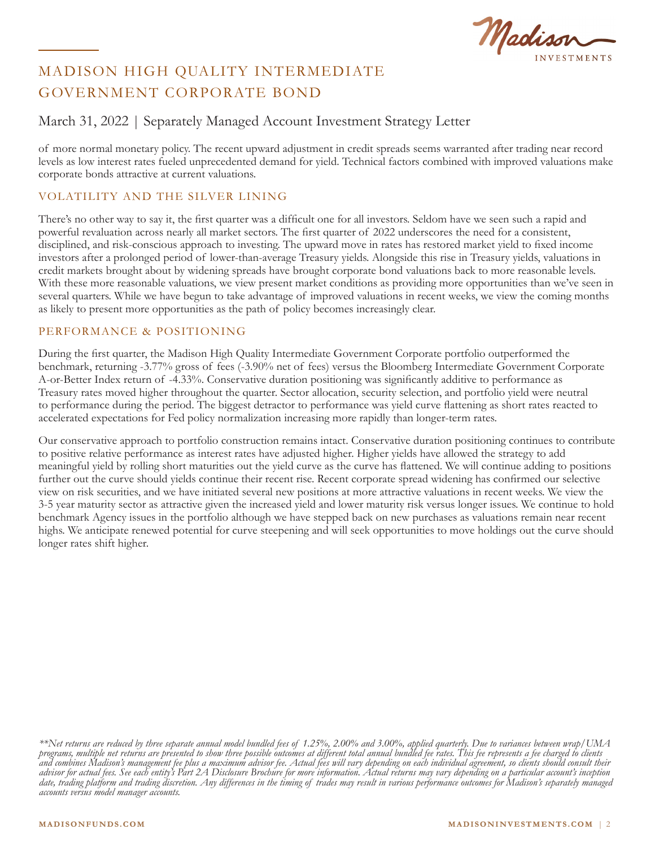Madison

## March 31, 2022 | Separately Managed Account Investment Strategy Letter

of more normal monetary policy. The recent upward adjustment in credit spreads seems warranted after trading near record levels as low interest rates fueled unprecedented demand for yield. Technical factors combined with improved valuations make corporate bonds attractive at current valuations.

### VOLATILITY AND THE SILVER LINING

There's no other way to say it, the first quarter was a difficult one for all investors. Seldom have we seen such a rapid and powerful revaluation across nearly all market sectors. The first quarter of 2022 underscores the need for a consistent, disciplined, and risk-conscious approach to investing. The upward move in rates has restored market yield to fixed income investors after a prolonged period of lower-than-average Treasury yields. Alongside this rise in Treasury yields, valuations in credit markets brought about by widening spreads have brought corporate bond valuations back to more reasonable levels. With these more reasonable valuations, we view present market conditions as providing more opportunities than we've seen in several quarters. While we have begun to take advantage of improved valuations in recent weeks, we view the coming months as likely to present more opportunities as the path of policy becomes increasingly clear.

#### PERFORMANCE & POSITIONING

During the first quarter, the Madison High Quality Intermediate Government Corporate portfolio outperformed the benchmark, returning -3.77% gross of fees (-3.90% net of fees) versus the Bloomberg Intermediate Government Corporate A-or-Better Index return of -4.33%. Conservative duration positioning was significantly additive to performance as Treasury rates moved higher throughout the quarter. Sector allocation, security selection, and portfolio yield were neutral to performance during the period. The biggest detractor to performance was yield curve flattening as short rates reacted to accelerated expectations for Fed policy normalization increasing more rapidly than longer-term rates.

Our conservative approach to portfolio construction remains intact. Conservative duration positioning continues to contribute to positive relative performance as interest rates have adjusted higher. Higher yields have allowed the strategy to add meaningful yield by rolling short maturities out the yield curve as the curve has flattened. We will continue adding to positions further out the curve should yields continue their recent rise. Recent corporate spread widening has confirmed our selective view on risk securities, and we have initiated several new positions at more attractive valuations in recent weeks. We view the 3-5 year maturity sector as attractive given the increased yield and lower maturity risk versus longer issues. We continue to hold benchmark Agency issues in the portfolio although we have stepped back on new purchases as valuations remain near recent highs. We anticipate renewed potential for curve steepening and will seek opportunities to move holdings out the curve should longer rates shift higher.

*<sup>\*\*</sup>Net returns are reduced by three separate annual model bundled fees of 1.25%, 2.00% and 3.00%, applied quarterly. Due to variances between wrap/UMA programs, multiple net returns are presented to show three possible outcomes at different total annual bundled fee rates. This fee represents a fee charged to clients and combines Madison's management fee plus a maximum advisor fee. Actual fees will vary depending on each individual agreement, so clients should consult their advisor for actual fees. See each entity's Part 2A Disclosure Brochure for more information. Actual returns may vary depending on a particular account's inception date, trading platform and trading discretion. Any differences in the timing of trades may result in various performance outcomes for Madison's separately managed accounts versus model manager accounts.*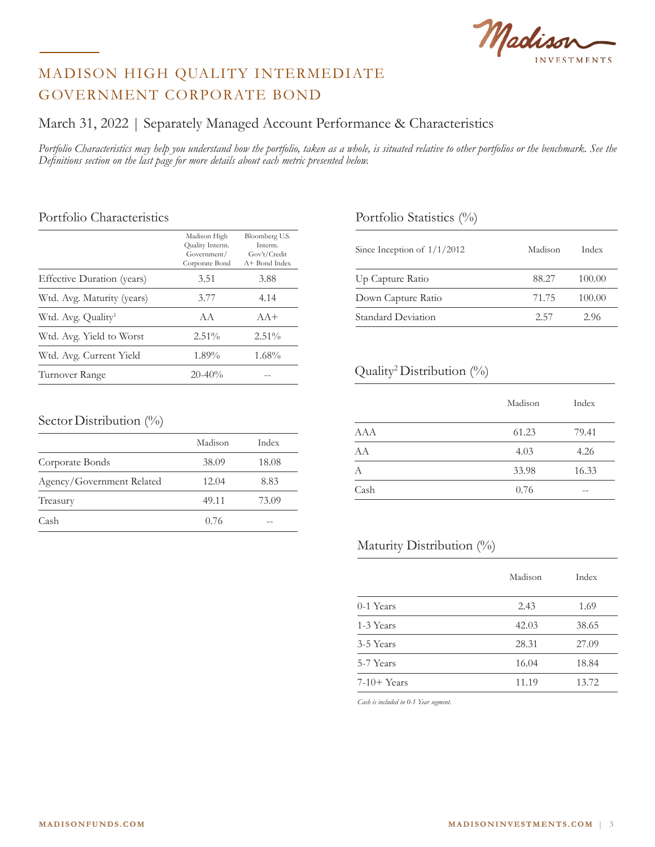Madison

## March 31, 2022 | Separately Managed Account Performance & Characteristics

*Portfolio Characteristics may help you understand how the portfolio, taken as a whole, is situated relative to other portfolios or the benchmark. See the Definitions section on the last page for more details about each metric presented below.*

#### Portfolio Characteristics

|                                | Madison High<br>Quality Interm.<br>Government/<br>Corporate Bond | Bloomberg U.S.<br>Interm.<br>Gov't/Credit<br>A+ Bond Index |
|--------------------------------|------------------------------------------------------------------|------------------------------------------------------------|
| Effective Duration (years)     | 3.51                                                             | 3.88                                                       |
| Wtd. Avg. Maturity (years)     | 3.77                                                             | 4.14                                                       |
| Wtd. Avg. Quality <sup>1</sup> | A A                                                              | $AA+$                                                      |
| Wtd. Avg. Yield to Worst       | $2.51\%$                                                         | $2.51\%$                                                   |
| Wtd. Avg. Current Yield        | $1.89\%$                                                         | 1.68%                                                      |
| Turnover Range                 | $20 - 40\%$                                                      |                                                            |

### Portfolio Statistics (%)

| Since Inception of $1/1/2012$ | Madison | Index  |
|-------------------------------|---------|--------|
| Up Capture Ratio              | 88.27   | 100.00 |
| Down Capture Ratio            | 71.75   | 100.00 |
| Standard Deviation            | 2.57    | 2.96   |

### Quality2 Distribution (%)

|            | Madison | Index |
|------------|---------|-------|
| <b>AAA</b> | 61.23   | 79.41 |
| AA         | 4.03    | 4.26  |
| А          | 33.98   | 16.33 |
| Cash       | 0.76    |       |

### Maturity Distribution (%)

|              | Madison | Index |
|--------------|---------|-------|
| $0-1$ Years  | 2.43    | 1.69  |
| 1-3 Years    | 42.03   | 38.65 |
| 3-5 Years    | 28.31   | 27.09 |
| 5-7 Years    | 16.04   | 18.84 |
| $7-10+Years$ | 11.19   | 13.72 |

*Cash is included in 0-1 Year segment.*

#### Sector Distribution (%)

|                           | Madison | Index |
|---------------------------|---------|-------|
| Corporate Bonds           | 38.09   | 18.08 |
| Agency/Government Related | 12.04   | 8.83  |
| Treasury                  | 49.11   | 73.09 |
| Cash                      | 0.76    |       |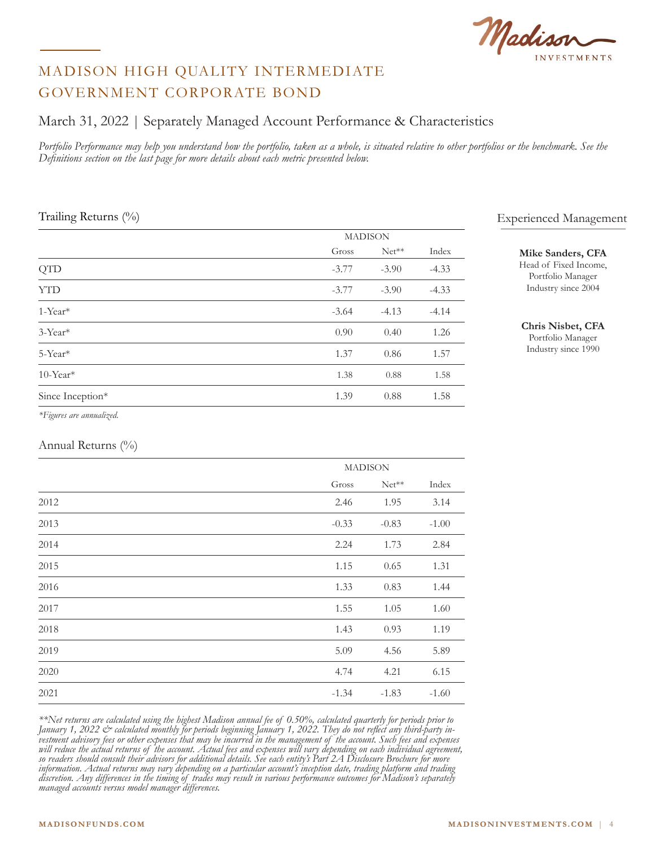Madison

## March 31, 2022 | Separately Managed Account Performance & Characteristics

Portfolio Performance may help you understand how the portfolio, taken as a whole, is situated relative to other portfolios or the benchmark. See the *Definitions section on the last page for more details about each metric presented below.*

#### Trailing Returns (%)

|                         | <b>MADISON</b> |         |         |
|-------------------------|----------------|---------|---------|
|                         | Gross          | $Net**$ | Index   |
| <b>QTD</b>              | $-3.77$        | $-3.90$ | $-4.33$ |
| <b>YTD</b>              | $-3.77$        | $-3.90$ | $-4.33$ |
| 1-Year*                 | $-3.64$        | $-4.13$ | $-4.14$ |
| $3$ -Year <sup>*</sup>  | 0.90           | 0.40    | 1.26    |
| 5-Year*                 | 1.37           | 0.86    | 1.57    |
| $10$ -Year <sup>*</sup> | 1.38           | 0.88    | 1.58    |
| Since Inception*        | 1.39           | 0.88    | 1.58    |

Experienced Management

#### **Mike Sanders, CFA**

Head of Fixed Income, Portfolio Manager Industry since 2004

#### **Chris Nisbet, CFA**

Portfolio Manager Industry since 1990

#### *\*Figures are annualized.*

#### Annual Returns (%)

|      |         | <b>MADISON</b> |         |  |
|------|---------|----------------|---------|--|
|      |         | Gross Net**    | Index   |  |
| 2012 | 2.46    | 1.95           | 3.14    |  |
| 2013 | $-0.33$ | $-0.83$        | $-1.00$ |  |
| 2014 | 2.24    | 1.73           | 2.84    |  |
| 2015 | 1.15    | 0.65           | 1.31    |  |
| 2016 | 1.33    | 0.83           | 1.44    |  |
| 2017 | 1.55    | 1.05           | 1.60    |  |
| 2018 | 1.43    | 0.93           | 1.19    |  |
| 2019 | 5.09    | 4.56           | 5.89    |  |
| 2020 | 4.74    | 4.21           | 6.15    |  |
| 2021 | $-1.34$ | $-1.83$        | $-1.60$ |  |

*\*\*Net returns are calculated using the highest Madison annual fee of 0.50%, calculated quarterly for periods prior to*  January 1, 2022 & calculated monthly for periods beginning January 1, 2022. They do not reflect any third-party in-<br>vestment advisory fees or other expenses that may be incurred in the management of the account. Such fees *will reduce the actual returns of the account. Actual fees and expenses will vary depending on each individual agreement, so readers should consult their advisors for additional details. See each entity's Part 2A Disclosure Brochure for more information. Actual returns may vary depending on a particular account's inception date, trading platform and trading discretion. Any differences in the timing of trades may result in various performance outcomes for Madison's separately managed accounts versus model manager differences.*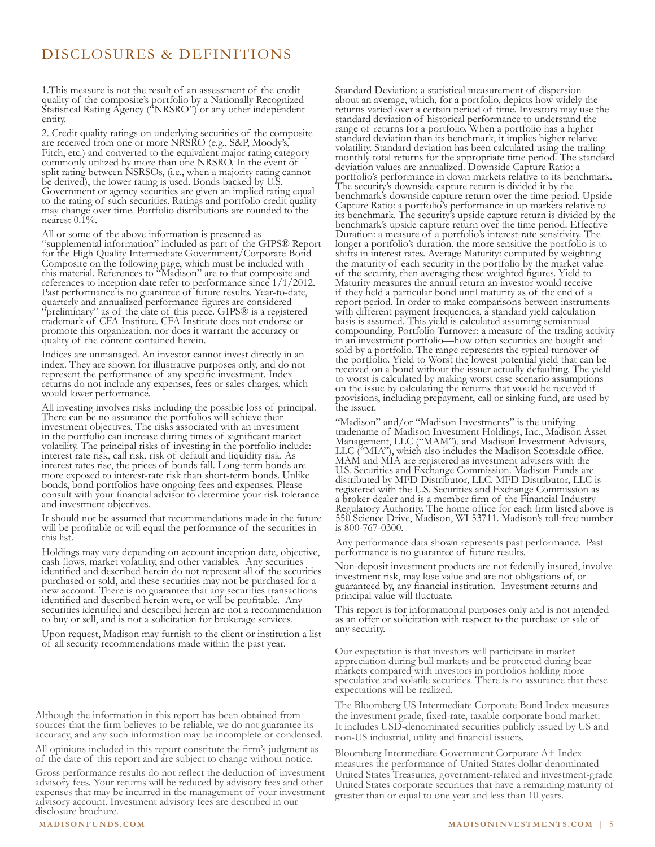# DISCLOSURES & DEFINITIONS

1.This measure is not the result of an assessment of the credit quality of the composite's portfolio by a Nationally Recognized Statistical Rating Agency ("NRSRO") or any other independent entity.

2. Credit quality ratings on underlying securities of the composite are received from one or more NRSRO (e.g., S&P, Moody's, Fitch, etc.) and converted to the equivalent major rating category commonly utilized by more than one NRSRO. In the event of split rating between NSRSOs, (i.e., when a majority rating cannot be derived), the lower rating is used. Bonds backed by U.S. Government or agency securities are given an implied rating equal to the rating of such securities. Ratings and portfolio credit quality may change over time. Portfolio distributions are rounded to the nearest 0.1%.

All or some of the above information is presented as "supplemental information" included as part of the GIPS® Report for the High Quality Intermediate Government/Corporate Bond Composite on the following page, which must be included with this material. References to "Madison" are to that composite and references to inception date refer to performance since 1/1/2012. Past performance is no guarantee of future results. Year-to-date, quarterly and annualized performance figures are considered "preliminary" as of the date of this piece. GIPS® is a registered trademark of CFA Institute. CFA Institute does not endorse or promote this organization, nor does it warrant the accuracy or quality of the content contained herein.

Indices are unmanaged. An investor cannot invest directly in an index. They are shown for illustrative purposes only, and do not represent the performance of any specific investment. Index returns do not include any expenses, fees or sales charges, which would lower performance.

All investing involves risks including the possible loss of principal. There can be no assurance the portfolios will achieve their investment objectives. The risks associated with an investment in the portfolio can increase during times of significant market volatility. The principal risks of investing in the portfolio include: interest rate risk, call risk, risk of default and liquidity risk. As interest rates rise, the prices of bonds fall. Long-term bonds are more exposed to interest-rate risk than short-term bonds. Unlike bonds, bond portfolios have ongoing fees and expenses. Please consult with your financial advisor to determine your risk tolerance and investment objectives.

It should not be assumed that recommendations made in the future will be profitable or will equal the performance of the securities in this list.

Holdings may vary depending on account inception date, objective, cash flows, market volatility, and other variables. Any securities identified and described herein do not represent all of the securities purchased or sold, and these securities may not be purchased for a new account. There is no guarantee that any securities transactions identified and described herein were, or will be profitable. Any securities identified and described herein are not a recommendation to buy or sell, and is not a solicitation for brokerage services.

Upon request, Madison may furnish to the client or institution a list of all security recommendations made within the past year.

Although the information in this report has been obtained from sources that the firm believes to be reliable, we do not guarantee its accuracy, and any such information may be incomplete or condensed.

All opinions included in this report constitute the firm's judgment as of the date of this report and are subject to change without notice.

expenses that may be incurred in the management of your investment<br>advisory accurate that the set of the management of the state of the state of the state of the state of the st Gross performance results do not reflect the deduction of investment advisory fees. Your returns will be reduced by advisory fees and other expenses that may be incurred in the management of your investment advisory account. Investment advisory fees are described in our disclosure brochure.

Standard Deviation: a statistical measurement of dispersion about an average, which, for a portfolio, depicts how widely the returns varied over a certain period of time. Investors may use the standard deviation of historical performance to understand the range of returns for a portfolio. When a portfolio has a higher standard deviation than its benchmark, it implies higher relative volatility. Standard deviation has been calculated using the trailing monthly total returns for the appropriate time period. The standard deviation values are annualized. Downside Capture Ratio: a portfolio's performance in down markets relative to its benchmark. The security's downside capture return is divided it by the benchmark's downside capture return over the time period. Upside Capture Ratio: a portfolio's performance in up markets relative to its benchmark. The security's upside capture return is divided by the benchmark's upside capture return over the time period. Effective Duration: a measure of a portfolio's interest-rate sensitivity. The longer a portfolio's duration, the more sensitive the portfolio is to shifts in interest rates. Average Maturity: computed by weighting the maturity of each security in the portfolio by the market value of the security, then averaging these weighted figures. Yield to Maturity measures the annual return an investor would receive if they held a particular bond until maturity as of the end of a report period. In order to make comparisons between instruments with different payment frequencies, a standard yield calculation basis is assumed. This yield is calculated assuming semiannual compounding. Portfolio Turnover: a measure of the trading activity in an investment portfolio—how often securities are bought and sold by a portfolio. The range represents the typical turnover of the portfolio. Yield to Worst the lowest potential yield that can be received on a bond without the issuer actually defaulting. The yield to worst is calculated by making worst case scenario assumptions on the issue by calculating the returns that would be received if provisions, including prepayment, call or sinking fund, are used by the issuer.

"Madison" and/or "Madison Investments" is the unifying tradename of Madison Investment Holdings, Inc., Madison Asset Management, LLC ("MAM"), and Madison Investment Advisors, LLC ("MIA"), which also includes the Madison Scottsdale office. MAM and MIA are registered as investment advisers with the U.S. Securities and Exchange Commission. Madison Funds are distributed by MFD Distributor, LLC. MFD Distributor, LLC is registered with the U.S. Securities and Exchange Commission as a broker-dealer and is a member firm of the Financial Industry Regulatory Authority. The home office for each firm listed above is 550 Science Drive, Madison, WI 53711. Madison's toll-free number is 800-767-0300.

Any performance data shown represents past performance. Past performance is no guarantee of future results.

Non-deposit investment products are not federally insured, involve investment risk, may lose value and are not obligations of, or guaranteed by, any financial institution. Investment returns and principal value will fluctuate.

This report is for informational purposes only and is not intended as an offer or solicitation with respect to the purchase or sale of any security.

Our expectation is that investors will participate in market appreciation during bull markets and be protected during bear markets compared with investors in portfolios holding more speculative and volatile securities. There is no assurance that these expectations will be realized.

The Bloomberg US Intermediate Corporate Bond Index measures the investment grade, fixed-rate, taxable corporate bond market. It includes USD-denominated securities publicly issued by US and non-US industrial, utility and financial issuers.

Bloomberg Intermediate Government Corporate A+ Index measures the performance of United States dollar-denominated United States Treasuries, government-related and investment-grade United States corporate securities that have a remaining maturity of